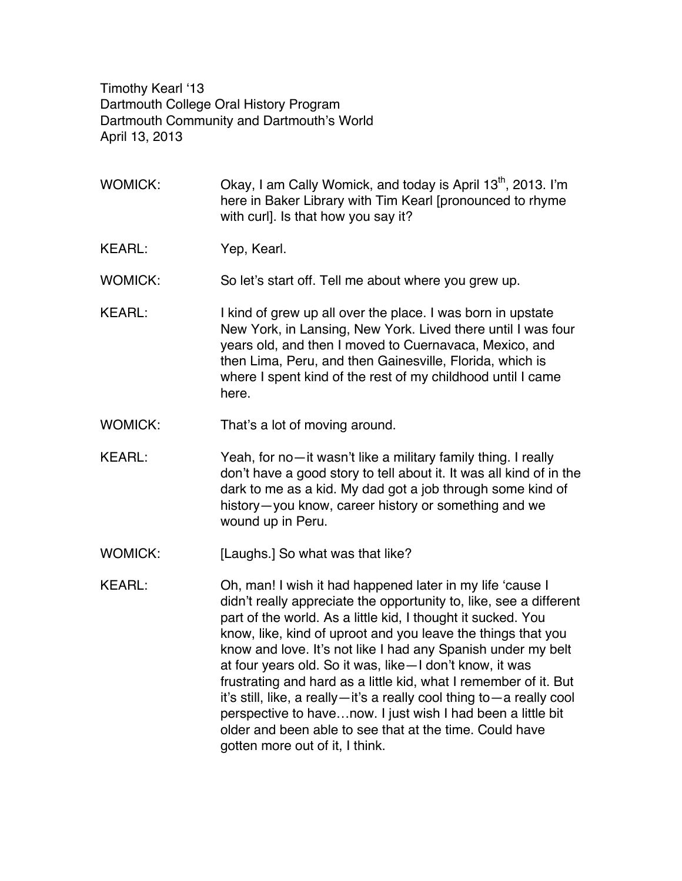Timothy Kearl '13 Dartmouth College Oral History Program Dartmouth Community and Dartmouth's World April 13, 2013

- WOMICK:  $\sim$  Okay, I am Cally Womick, and today is April 13<sup>th</sup>, 2013. I'm here in Baker Library with Tim Kearl [pronounced to rhyme with curl]. Is that how you say it?
- KEARL: Yep, Kearl.

WOMICK: So let's start off. Tell me about where you grew up.

- KEARL: I kind of grew up all over the place. I was born in upstate New York, in Lansing, New York. Lived there until I was four years old, and then I moved to Cuernavaca, Mexico, and then Lima, Peru, and then Gainesville, Florida, which is where I spent kind of the rest of my childhood until I came here.
- WOMICK: That's a lot of moving around.
- KEARL: Yeah, for no—it wasn't like a military family thing. I really don't have a good story to tell about it. It was all kind of in the dark to me as a kid. My dad got a job through some kind of history—you know, career history or something and we wound up in Peru.
- WOMICK: [Laughs.] So what was that like?
- KEARL: Oh, man! I wish it had happened later in my life 'cause I didn't really appreciate the opportunity to, like, see a different part of the world. As a little kid, I thought it sucked. You know, like, kind of uproot and you leave the things that you know and love. It's not like I had any Spanish under my belt at four years old. So it was, like—I don't know, it was frustrating and hard as a little kid, what I remember of it. But it's still, like, a really—it's a really cool thing to—a really cool perspective to have…now. I just wish I had been a little bit older and been able to see that at the time. Could have gotten more out of it, I think.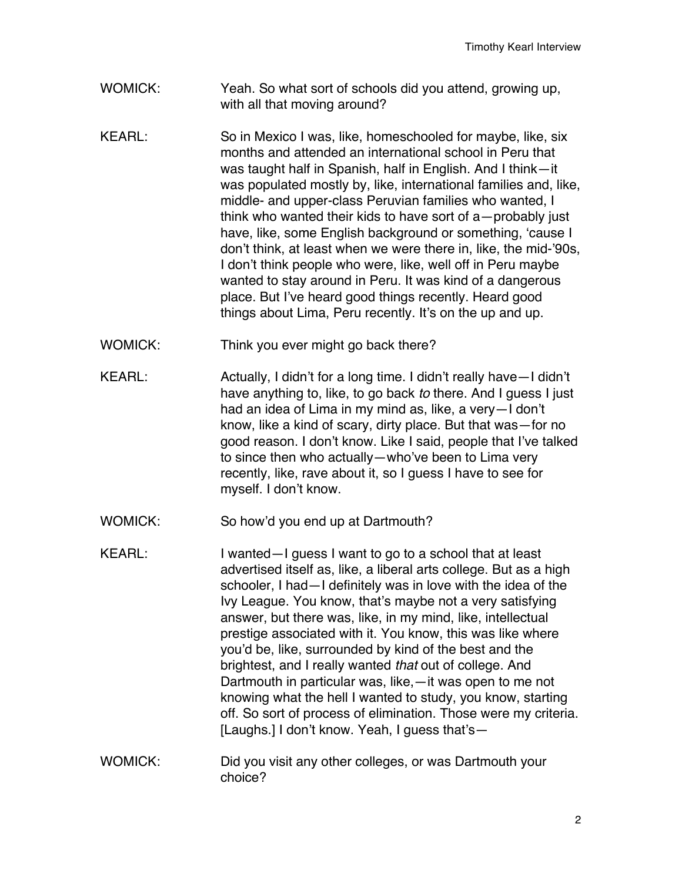- WOMICK: Yeah. So what sort of schools did you attend, growing up, with all that moving around?
- KEARL: So in Mexico I was, like, homeschooled for maybe, like, six months and attended an international school in Peru that was taught half in Spanish, half in English. And I think—it was populated mostly by, like, international families and, like, middle- and upper-class Peruvian families who wanted, I think who wanted their kids to have sort of a—probably just have, like, some English background or something, 'cause I don't think, at least when we were there in, like, the mid-'90s, I don't think people who were, like, well off in Peru maybe wanted to stay around in Peru. It was kind of a dangerous place. But I've heard good things recently. Heard good things about Lima, Peru recently. It's on the up and up.
- WOMICK: Think you ever might go back there?
- KEARL: Actually, I didn't for a long time. I didn't really have—I didn't have anything to, like, to go back *to* there. And I guess I just had an idea of Lima in my mind as, like, a very—I don't know, like a kind of scary, dirty place. But that was—for no good reason. I don't know. Like I said, people that I've talked to since then who actually—who've been to Lima very recently, like, rave about it, so I guess I have to see for myself. I don't know.
- WOMICK: So how'd you end up at Dartmouth?
- KEARL: I wanted—I guess I want to go to a school that at least advertised itself as, like, a liberal arts college. But as a high schooler, I had—I definitely was in love with the idea of the Ivy League. You know, that's maybe not a very satisfying answer, but there was, like, in my mind, like, intellectual prestige associated with it. You know, this was like where you'd be, like, surrounded by kind of the best and the brightest, and I really wanted *that* out of college. And Dartmouth in particular was, like,—it was open to me not knowing what the hell I wanted to study, you know, starting off. So sort of process of elimination. Those were my criteria. [Laughs.] I don't know. Yeah, I guess that's—
- WOMICK: Did you visit any other colleges, or was Dartmouth your choice?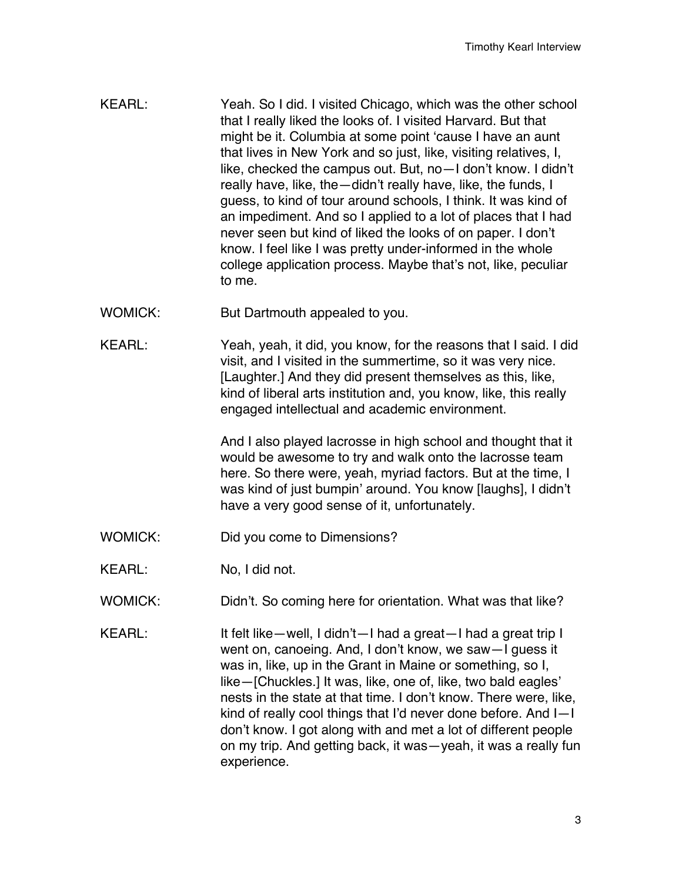- KEARL: Yeah. So I did. I visited Chicago, which was the other school that I really liked the looks of. I visited Harvard. But that might be it. Columbia at some point 'cause I have an aunt that lives in New York and so just, like, visiting relatives, I, like, checked the campus out. But, no—I don't know. I didn't really have, like, the—didn't really have, like, the funds, I guess, to kind of tour around schools, I think. It was kind of an impediment. And so I applied to a lot of places that I had never seen but kind of liked the looks of on paper. I don't know. I feel like I was pretty under-informed in the whole college application process. Maybe that's not, like, peculiar to me.
- WOMICK: But Dartmouth appealed to you.
- KEARL: Yeah, yeah, it did, you know, for the reasons that I said. I did visit, and I visited in the summertime, so it was very nice. [Laughter.] And they did present themselves as this, like, kind of liberal arts institution and, you know, like, this really engaged intellectual and academic environment.

And I also played lacrosse in high school and thought that it would be awesome to try and walk onto the lacrosse team here. So there were, yeah, myriad factors. But at the time, I was kind of just bumpin' around. You know [laughs], I didn't have a very good sense of it, unfortunately.

- WOMICK: Did you come to Dimensions?
- KEARL: No, I did not.
- WOMICK: Didn't. So coming here for orientation. What was that like?
- KEARL: It felt like—well, I didn't—I had a great—I had a great trip I went on, canoeing. And, I don't know, we saw—I guess it was in, like, up in the Grant in Maine or something, so I, like—[Chuckles.] It was, like, one of, like, two bald eagles' nests in the state at that time. I don't know. There were, like, kind of really cool things that I'd never done before. And I—I don't know. I got along with and met a lot of different people on my trip. And getting back, it was—yeah, it was a really fun experience.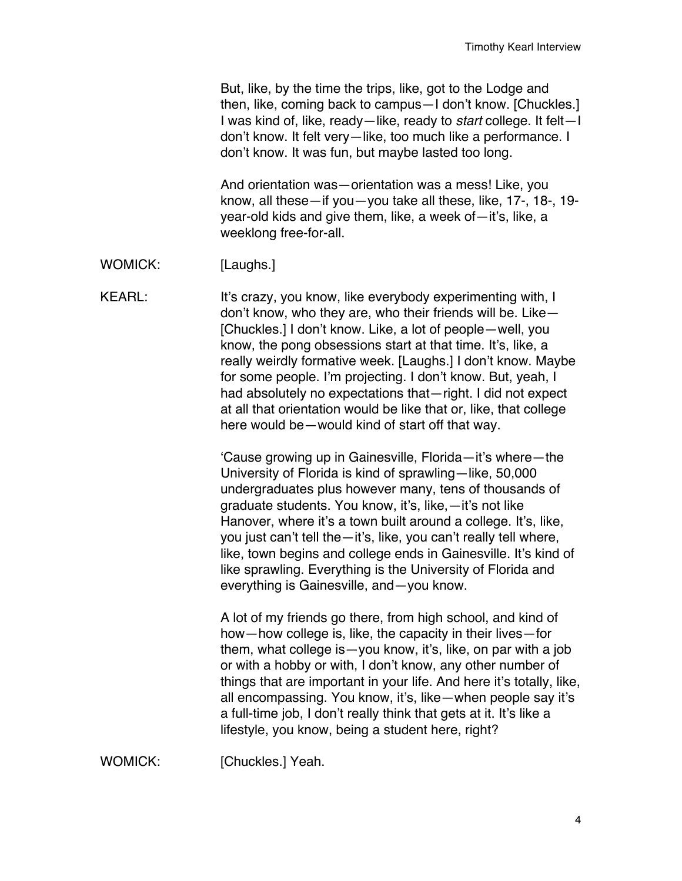But, like, by the time the trips, like, got to the Lodge and then, like, coming back to campus—I don't know. [Chuckles.] I was kind of, like, ready—like, ready to *start* college. It felt—I don't know. It felt very—like, too much like a performance. I don't know. It was fun, but maybe lasted too long.

And orientation was—orientation was a mess! Like, you know, all these—if you—you take all these, like, 17-, 18-, 19 year-old kids and give them, like, a week of—it's, like, a weeklong free-for-all.

WOMICK: [Laughs.]

KEARL: It's crazy, you know, like everybody experimenting with, I don't know, who they are, who their friends will be. Like— [Chuckles.] I don't know. Like, a lot of people—well, you know, the pong obsessions start at that time. It's, like, a really weirdly formative week. [Laughs.] I don't know. Maybe for some people. I'm projecting. I don't know. But, yeah, I had absolutely no expectations that—right. I did not expect at all that orientation would be like that or, like, that college here would be—would kind of start off that way.

> 'Cause growing up in Gainesville, Florida—it's where—the University of Florida is kind of sprawling—like, 50,000 undergraduates plus however many, tens of thousands of graduate students. You know, it's, like,—it's not like Hanover, where it's a town built around a college. It's, like, you just can't tell the—it's, like, you can't really tell where, like, town begins and college ends in Gainesville. It's kind of like sprawling. Everything is the University of Florida and everything is Gainesville, and—you know.

A lot of my friends go there, from high school, and kind of how—how college is, like, the capacity in their lives—for them, what college is—you know, it's, like, on par with a job or with a hobby or with, I don't know, any other number of things that are important in your life. And here it's totally, like, all encompassing. You know, it's, like—when people say it's a full-time job, I don't really think that gets at it. It's like a lifestyle, you know, being a student here, right?

WOMICK: [Chuckles.] Yeah.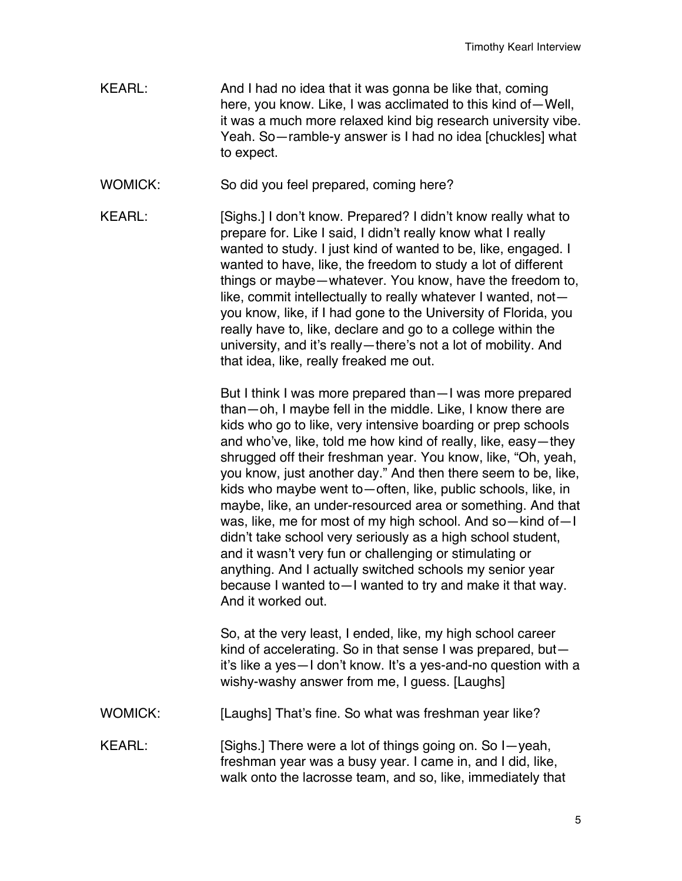- KEARL: And I had no idea that it was gonna be like that, coming here, you know. Like, I was acclimated to this kind of—Well, it was a much more relaxed kind big research university vibe. Yeah. So—ramble-y answer is I had no idea [chuckles] what to expect.
- WOMICK: So did you feel prepared, coming here?
- KEARL: [Sighs.] I don't know. Prepared? I didn't know really what to prepare for. Like I said, I didn't really know what I really wanted to study. I just kind of wanted to be, like, engaged. I wanted to have, like, the freedom to study a lot of different things or maybe—whatever. You know, have the freedom to, like, commit intellectually to really whatever I wanted, not you know, like, if I had gone to the University of Florida, you really have to, like, declare and go to a college within the university, and it's really—there's not a lot of mobility. And that idea, like, really freaked me out.

But I think I was more prepared than—I was more prepared than—oh, I maybe fell in the middle. Like, I know there are kids who go to like, very intensive boarding or prep schools and who've, like, told me how kind of really, like, easy—they shrugged off their freshman year. You know, like, "Oh, yeah, you know, just another day." And then there seem to be, like, kids who maybe went to—often, like, public schools, like, in maybe, like, an under-resourced area or something. And that was, like, me for most of my high school. And so—kind of—I didn't take school very seriously as a high school student, and it wasn't very fun or challenging or stimulating or anything. And I actually switched schools my senior year because I wanted to—I wanted to try and make it that way. And it worked out.

So, at the very least, I ended, like, my high school career kind of accelerating. So in that sense I was prepared, but it's like a yes—I don't know. It's a yes-and-no question with a wishy-washy answer from me, I guess. [Laughs]

- WOMICK: [Laughs] That's fine. So what was freshman year like?
- KEARL: [Sighs.] There were a lot of things going on. So I—yeah, freshman year was a busy year. I came in, and I did, like, walk onto the lacrosse team, and so, like, immediately that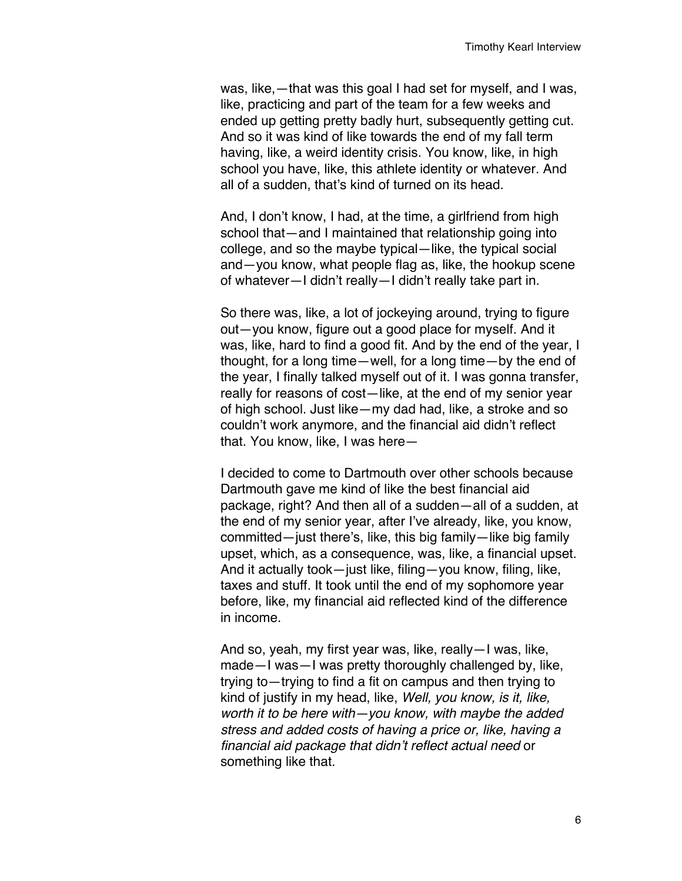was, like,—that was this goal I had set for myself, and I was, like, practicing and part of the team for a few weeks and ended up getting pretty badly hurt, subsequently getting cut. And so it was kind of like towards the end of my fall term having, like, a weird identity crisis. You know, like, in high school you have, like, this athlete identity or whatever. And all of a sudden, that's kind of turned on its head.

And, I don't know, I had, at the time, a girlfriend from high school that—and I maintained that relationship going into college, and so the maybe typical—like, the typical social and—you know, what people flag as, like, the hookup scene of whatever—I didn't really—I didn't really take part in.

So there was, like, a lot of jockeying around, trying to figure out—you know, figure out a good place for myself. And it was, like, hard to find a good fit. And by the end of the year, I thought, for a long time—well, for a long time—by the end of the year, I finally talked myself out of it. I was gonna transfer, really for reasons of cost—like, at the end of my senior year of high school. Just like—my dad had, like, a stroke and so couldn't work anymore, and the financial aid didn't reflect that. You know, like, I was here—

I decided to come to Dartmouth over other schools because Dartmouth gave me kind of like the best financial aid package, right? And then all of a sudden—all of a sudden, at the end of my senior year, after I've already, like, you know, committed—just there's, like, this big family—like big family upset, which, as a consequence, was, like, a financial upset. And it actually took—just like, filing—you know, filing, like, taxes and stuff. It took until the end of my sophomore year before, like, my financial aid reflected kind of the difference in income.

And so, yeah, my first year was, like, really—I was, like, made—I was—I was pretty thoroughly challenged by, like, trying to—trying to find a fit on campus and then trying to kind of justify in my head, like, *Well, you know, is it, like, worth it to be here with—you know, with maybe the added stress and added costs of having a price or, like, having a financial aid package that didn't reflect actual need* or something like that.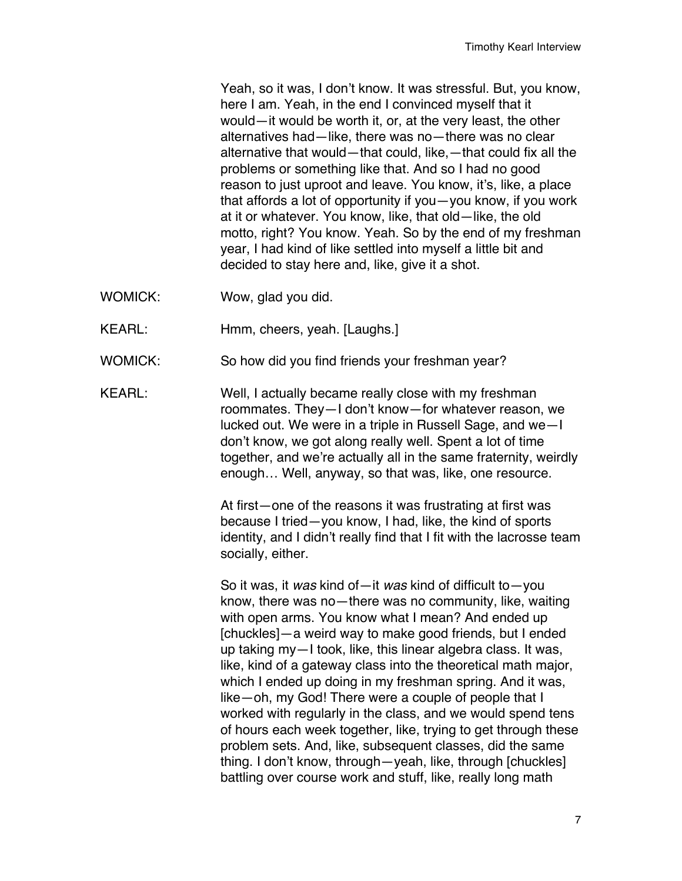Yeah, so it was, I don't know. It was stressful. But, you know, here I am. Yeah, in the end I convinced myself that it would—it would be worth it, or, at the very least, the other alternatives had—like, there was no—there was no clear alternative that would—that could, like,—that could fix all the problems or something like that. And so I had no good reason to just uproot and leave. You know, it's, like, a place that affords a lot of opportunity if you—you know, if you work at it or whatever. You know, like, that old—like, the old motto, right? You know. Yeah. So by the end of my freshman year, I had kind of like settled into myself a little bit and decided to stay here and, like, give it a shot.

- WOMICK: Wow, glad you did.
- KEARL: Hmm, cheers, yeah. [Laughs.]
- WOMICK: So how did you find friends your freshman year?
- KEARL: Well, I actually became really close with my freshman roommates. They—I don't know—for whatever reason, we lucked out. We were in a triple in Russell Sage, and we—I don't know, we got along really well. Spent a lot of time together, and we're actually all in the same fraternity, weirdly enough… Well, anyway, so that was, like, one resource.

At first—one of the reasons it was frustrating at first was because I tried—you know, I had, like, the kind of sports identity, and I didn't really find that I fit with the lacrosse team socially, either.

So it was, it *was* kind of—it *was* kind of difficult to—you know, there was no—there was no community, like, waiting with open arms. You know what I mean? And ended up [chuckles]—a weird way to make good friends, but I ended up taking my—I took, like, this linear algebra class. It was, like, kind of a gateway class into the theoretical math major, which I ended up doing in my freshman spring. And it was, like—oh, my God! There were a couple of people that I worked with regularly in the class, and we would spend tens of hours each week together, like, trying to get through these problem sets. And, like, subsequent classes, did the same thing. I don't know, through—yeah, like, through [chuckles] battling over course work and stuff, like, really long math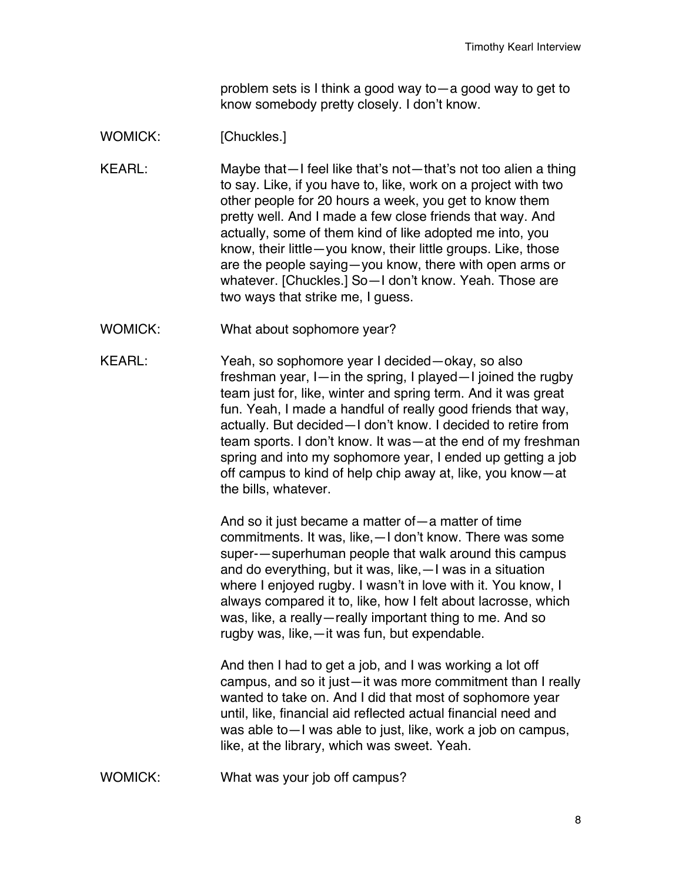problem sets is I think a good way to—a good way to get to know somebody pretty closely. I don't know.

## WOMICK: [Chuckles.]

KEARL: Maybe that—I feel like that's not—that's not too alien a thing to say. Like, if you have to, like, work on a project with two other people for 20 hours a week, you get to know them pretty well. And I made a few close friends that way. And actually, some of them kind of like adopted me into, you know, their little—you know, their little groups. Like, those are the people saying—you know, there with open arms or whatever. [Chuckles.] So—I don't know. Yeah. Those are two ways that strike me, I guess.

- WOMICK: What about sophomore year?
- KEARL: Yeah, so sophomore year I decided—okay, so also freshman year, I—in the spring, I played—I joined the rugby team just for, like, winter and spring term. And it was great fun. Yeah, I made a handful of really good friends that way, actually. But decided—I don't know. I decided to retire from team sports. I don't know. It was—at the end of my freshman spring and into my sophomore year, I ended up getting a job off campus to kind of help chip away at, like, you know—at the bills, whatever.

And so it just became a matter of—a matter of time commitments. It was, like,—I don't know. There was some super-—superhuman people that walk around this campus and do everything, but it was, like,—I was in a situation where I enjoyed rugby. I wasn't in love with it. You know, I always compared it to, like, how I felt about lacrosse, which was, like, a really—really important thing to me. And so rugby was, like,—it was fun, but expendable.

And then I had to get a job, and I was working a lot off campus, and so it just—it was more commitment than I really wanted to take on. And I did that most of sophomore year until, like, financial aid reflected actual financial need and was able to—I was able to just, like, work a job on campus, like, at the library, which was sweet. Yeah.

WOMICK: What was your job off campus?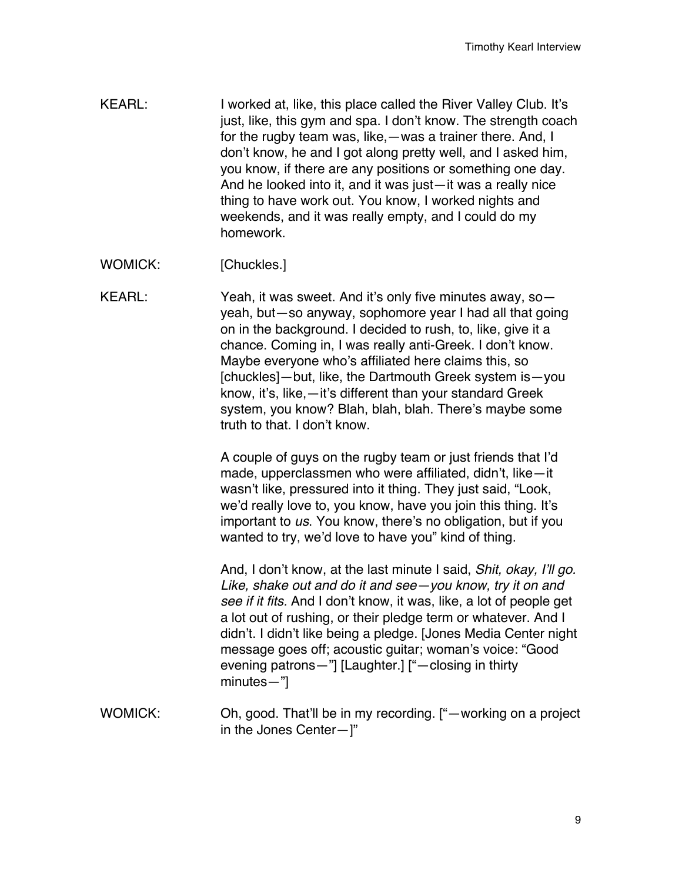- KEARL: I worked at, like, this place called the River Valley Club. It's just, like, this gym and spa. I don't know. The strength coach for the rugby team was, like,—was a trainer there. And, I don't know, he and I got along pretty well, and I asked him, you know, if there are any positions or something one day. And he looked into it, and it was just—it was a really nice thing to have work out. You know, I worked nights and weekends, and it was really empty, and I could do my homework.
- WOMICK: [Chuckles.]
- KEARL: Yeah, it was sweet. And it's only five minutes away, soyeah, but—so anyway, sophomore year I had all that going on in the background. I decided to rush, to, like, give it a chance. Coming in, I was really anti-Greek. I don't know. Maybe everyone who's affiliated here claims this, so [chuckles]—but, like, the Dartmouth Greek system is—you know, it's, like,—it's different than your standard Greek system, you know? Blah, blah, blah. There's maybe some truth to that. I don't know.

A couple of guys on the rugby team or just friends that I'd made, upperclassmen who were affiliated, didn't, like—it wasn't like, pressured into it thing. They just said, "Look, we'd really love to, you know, have you join this thing. It's important to *us*. You know, there's no obligation, but if you wanted to try, we'd love to have you" kind of thing.

And, I don't know, at the last minute I said, *Shit, okay, I'll go. Like, shake out and do it and see—you know, try it on and see if it fits.* And I don't know, it was, like, a lot of people get a lot out of rushing, or their pledge term or whatever. And I didn't. I didn't like being a pledge. [Jones Media Center night message goes off; acoustic guitar; woman's voice: "Good evening patrons—"] [Laughter.] ["—closing in thirty minutes—"]

WOMICK: Oh, good. That'll be in my recording. ["—working on a project in the Jones Center—]"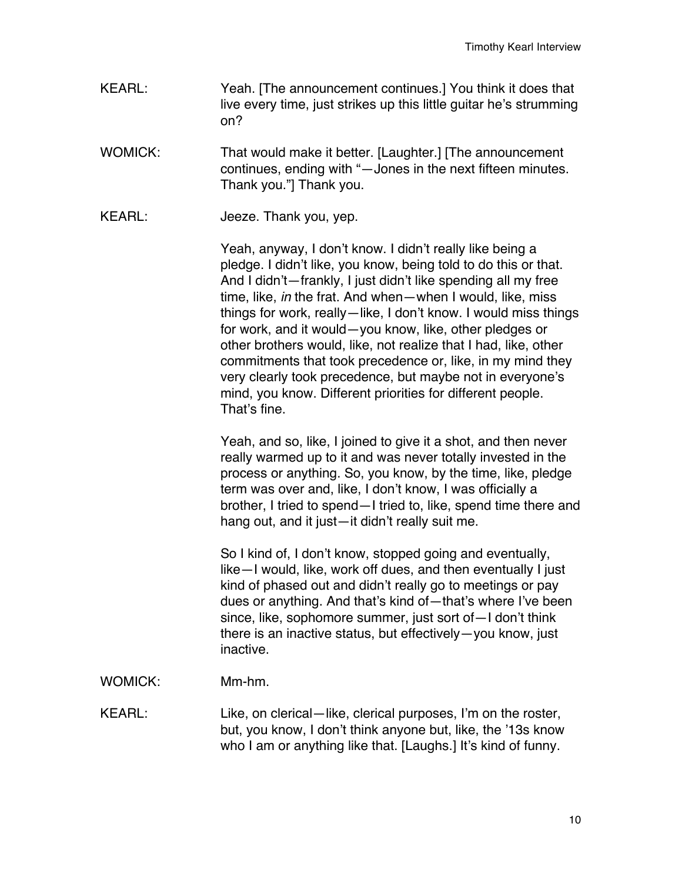- KEARL: Yeah. [The announcement continues.] You think it does that live every time, just strikes up this little guitar he's strumming on?
- WOMICK: That would make it better. [Laughter.] [The announcement continues, ending with "—Jones in the next fifteen minutes. Thank you."] Thank you.
- KEARL: Jeeze. Thank you, yep.

Yeah, anyway, I don't know. I didn't really like being a pledge. I didn't like, you know, being told to do this or that. And I didn't—frankly, I just didn't like spending all my free time, like, *in* the frat. And when—when I would, like, miss things for work, really—like, I don't know. I would miss things for work, and it would—you know, like, other pledges or other brothers would, like, not realize that I had, like, other commitments that took precedence or, like, in my mind they very clearly took precedence, but maybe not in everyone's mind, you know. Different priorities for different people. That's fine.

Yeah, and so, like, I joined to give it a shot, and then never really warmed up to it and was never totally invested in the process or anything. So, you know, by the time, like, pledge term was over and, like, I don't know, I was officially a brother, I tried to spend—I tried to, like, spend time there and hang out, and it just—it didn't really suit me.

So I kind of, I don't know, stopped going and eventually, like—I would, like, work off dues, and then eventually I just kind of phased out and didn't really go to meetings or pay dues or anything. And that's kind of—that's where I've been since, like, sophomore summer, just sort of—I don't think there is an inactive status, but effectively—you know, just inactive.

WOMICK: Mm-hm.

KEARL: Like, on clerical—like, clerical purposes, I'm on the roster, but, you know, I don't think anyone but, like, the '13s know who I am or anything like that. [Laughs.] It's kind of funny.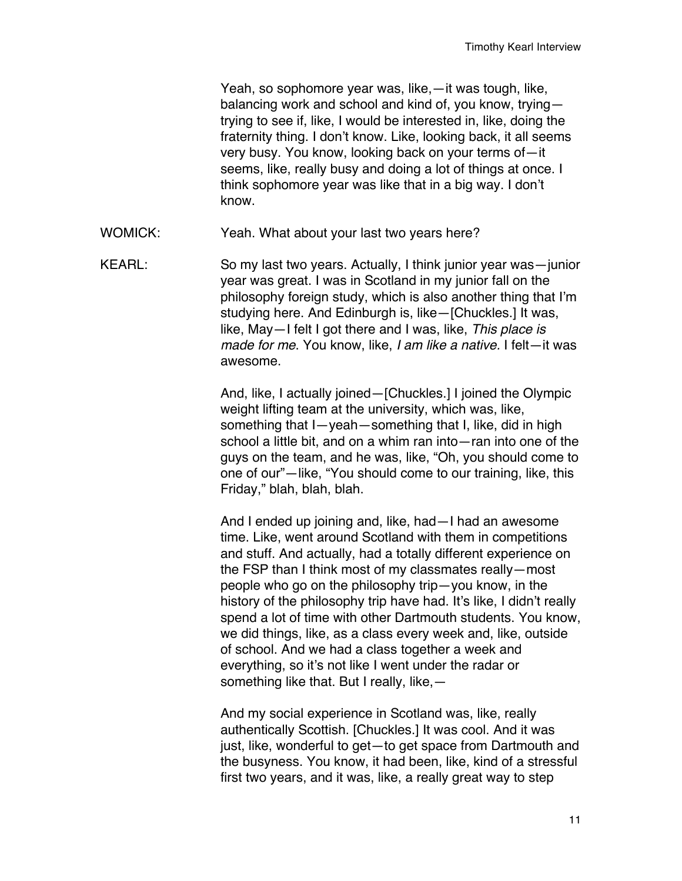Yeah, so sophomore year was, like,—it was tough, like, balancing work and school and kind of, you know, trying trying to see if, like, I would be interested in, like, doing the fraternity thing. I don't know. Like, looking back, it all seems very busy. You know, looking back on your terms of—it seems, like, really busy and doing a lot of things at once. I think sophomore year was like that in a big way. I don't know.

WOMICK: Yeah. What about your last two years here?

KEARL: So my last two years. Actually, I think junior year was—junior year was great. I was in Scotland in my junior fall on the philosophy foreign study, which is also another thing that I'm studying here. And Edinburgh is, like—[Chuckles.] It was, like, May—I felt I got there and I was, like, *This place is made for me*. You know, like, *I am like a native.* I felt—it was awesome.

> And, like, I actually joined—[Chuckles.] I joined the Olympic weight lifting team at the university, which was, like, something that I—yeah—something that I, like, did in high school a little bit, and on a whim ran into—ran into one of the guys on the team, and he was, like, "Oh, you should come to one of our"—like, "You should come to our training, like, this Friday," blah, blah, blah.

> And I ended up joining and, like, had—I had an awesome time. Like, went around Scotland with them in competitions and stuff. And actually, had a totally different experience on the FSP than I think most of my classmates really—most people who go on the philosophy trip—you know, in the history of the philosophy trip have had. It's like, I didn't really spend a lot of time with other Dartmouth students. You know, we did things, like, as a class every week and, like, outside of school. And we had a class together a week and everything, so it's not like I went under the radar or something like that. But I really, like,—

> And my social experience in Scotland was, like, really authentically Scottish. [Chuckles.] It was cool. And it was just, like, wonderful to get—to get space from Dartmouth and the busyness. You know, it had been, like, kind of a stressful first two years, and it was, like, a really great way to step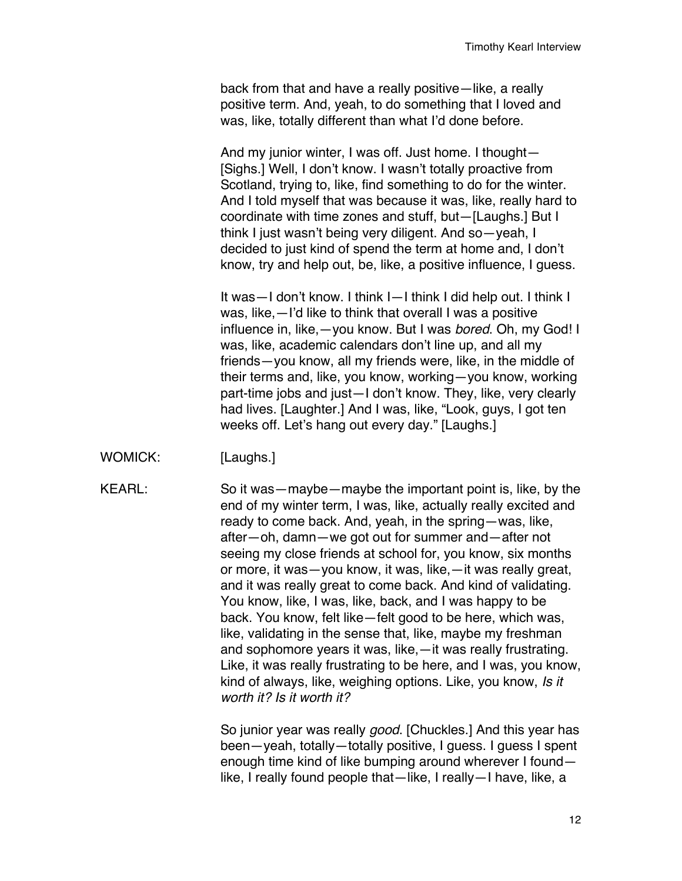back from that and have a really positive—like, a really positive term. And, yeah, to do something that I loved and was, like, totally different than what I'd done before.

And my junior winter, I was off. Just home. I thought— [Sighs.] Well, I don't know. I wasn't totally proactive from Scotland, trying to, like, find something to do for the winter. And I told myself that was because it was, like, really hard to coordinate with time zones and stuff, but—[Laughs.] But I think I just wasn't being very diligent. And so—yeah, I decided to just kind of spend the term at home and, I don't know, try and help out, be, like, a positive influence, I guess.

It was—I don't know. I think I—I think I did help out. I think I was, like,—I'd like to think that overall I was a positive influence in, like,—you know. But I was *bored*. Oh, my God! I was, like, academic calendars don't line up, and all my friends—you know, all my friends were, like, in the middle of their terms and, like, you know, working—you know, working part-time jobs and just—I don't know. They, like, very clearly had lives. [Laughter.] And I was, like, "Look, guys, I got ten weeks off. Let's hang out every day." [Laughs.]

WOMICK: [Laughs.]

KEARL: So it was—maybe—maybe the important point is, like, by the end of my winter term, I was, like, actually really excited and ready to come back. And, yeah, in the spring—was, like, after—oh, damn—we got out for summer and—after not seeing my close friends at school for, you know, six months or more, it was—you know, it was, like,—it was really great, and it was really great to come back. And kind of validating. You know, like, I was, like, back, and I was happy to be back. You know, felt like—felt good to be here, which was, like, validating in the sense that, like, maybe my freshman and sophomore years it was, like,—it was really frustrating. Like, it was really frustrating to be here, and I was, you know, kind of always, like, weighing options. Like, you know, *Is it worth it? Is it worth it?*

> So junior year was really *good*. [Chuckles.] And this year has been—yeah, totally—totally positive, I guess. I guess I spent enough time kind of like bumping around wherever I found like, I really found people that—like, I really—I have, like, a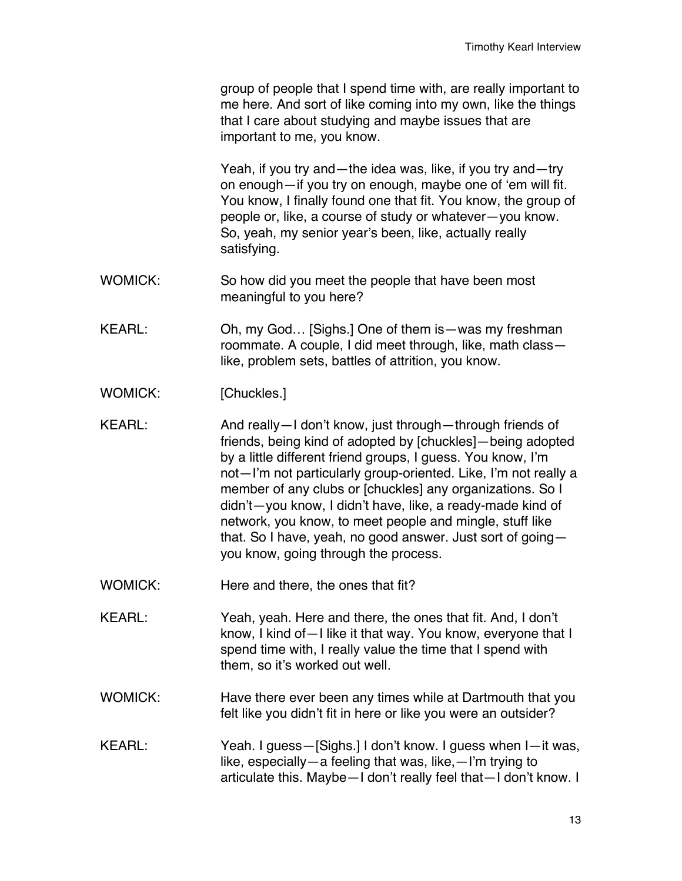group of people that I spend time with, are really important to me here. And sort of like coming into my own, like the things that I care about studying and maybe issues that are important to me, you know.

Yeah, if you try and—the idea was, like, if you try and—try on enough—if you try on enough, maybe one of 'em will fit. You know, I finally found one that fit. You know, the group of people or, like, a course of study or whatever—you know. So, yeah, my senior year's been, like, actually really satisfying.

- WOMICK: So how did you meet the people that have been most meaningful to you here?
- KEARL: Oh, my God… [Sighs.] One of them is—was my freshman roommate. A couple, I did meet through, like, math class like, problem sets, battles of attrition, you know.
- WOMICK: [Chuckles.]
- KEARL: And really—I don't know, just through—through friends of friends, being kind of adopted by [chuckles]—being adopted by a little different friend groups, I guess. You know, I'm not—I'm not particularly group-oriented. Like, I'm not really a member of any clubs or [chuckles] any organizations. So I didn't—you know, I didn't have, like, a ready-made kind of network, you know, to meet people and mingle, stuff like that. So I have, yeah, no good answer. Just sort of going you know, going through the process.
- WOMICK: Here and there, the ones that fit?
- KEARL: Yeah, yeah. Here and there, the ones that fit. And, I don't know, I kind of—I like it that way. You know, everyone that I spend time with, I really value the time that I spend with them, so it's worked out well.
- WOMICK: Have there ever been any times while at Dartmouth that you felt like you didn't fit in here or like you were an outsider?
- KEARL: Yeah. I guess—[Sighs.] I don't know. I guess when I—it was, like, especially—a feeling that was, like,—I'm trying to articulate this. Maybe—I don't really feel that—I don't know. I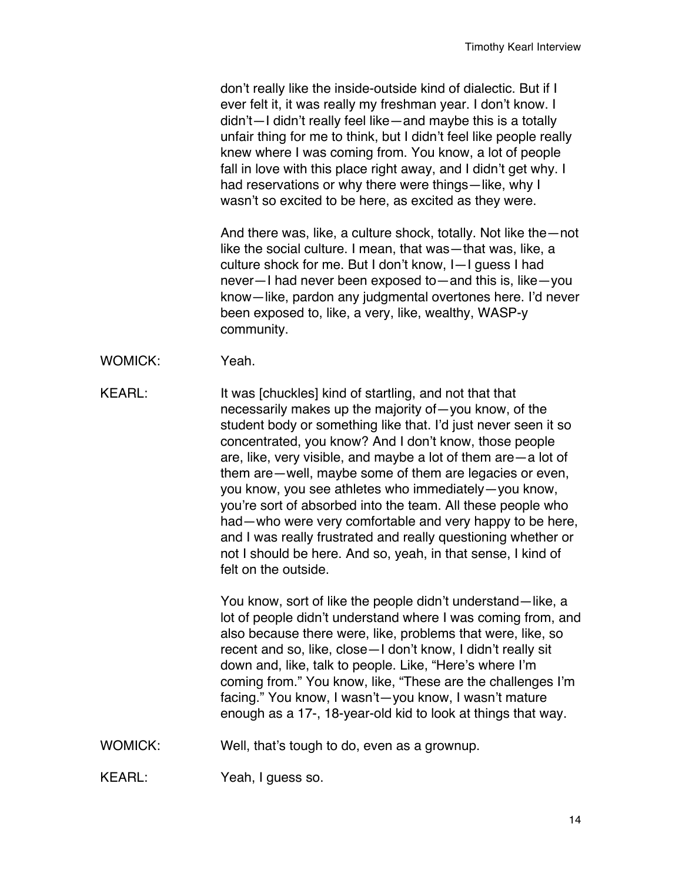don't really like the inside-outside kind of dialectic. But if I ever felt it, it was really my freshman year. I don't know. I didn't—I didn't really feel like—and maybe this is a totally unfair thing for me to think, but I didn't feel like people really knew where I was coming from. You know, a lot of people fall in love with this place right away, and I didn't get why. I had reservations or why there were things—like, why I wasn't so excited to be here, as excited as they were.

And there was, like, a culture shock, totally. Not like the—not like the social culture. I mean, that was—that was, like, a culture shock for me. But I don't know, I—I guess I had never—I had never been exposed to—and this is, like—you know—like, pardon any judgmental overtones here. I'd never been exposed to, like, a very, like, wealthy, WASP-y community.

- WOMICK: Yeah.
- KEARL: It was [chuckles] kind of startling, and not that that necessarily makes up the majority of—you know, of the student body or something like that. I'd just never seen it so concentrated, you know? And I don't know, those people are, like, very visible, and maybe a lot of them are—a lot of them are—well, maybe some of them are legacies or even, you know, you see athletes who immediately—you know, you're sort of absorbed into the team. All these people who had—who were very comfortable and very happy to be here, and I was really frustrated and really questioning whether or not I should be here. And so, yeah, in that sense, I kind of felt on the outside.

You know, sort of like the people didn't understand—like, a lot of people didn't understand where I was coming from, and also because there were, like, problems that were, like, so recent and so, like, close—I don't know, I didn't really sit down and, like, talk to people. Like, "Here's where I'm coming from." You know, like, "These are the challenges I'm facing." You know, I wasn't—you know, I wasn't mature enough as a 17-, 18-year-old kid to look at things that way.

WOMICK: Well, that's tough to do, even as a grownup.

KEARL: Yeah, I guess so.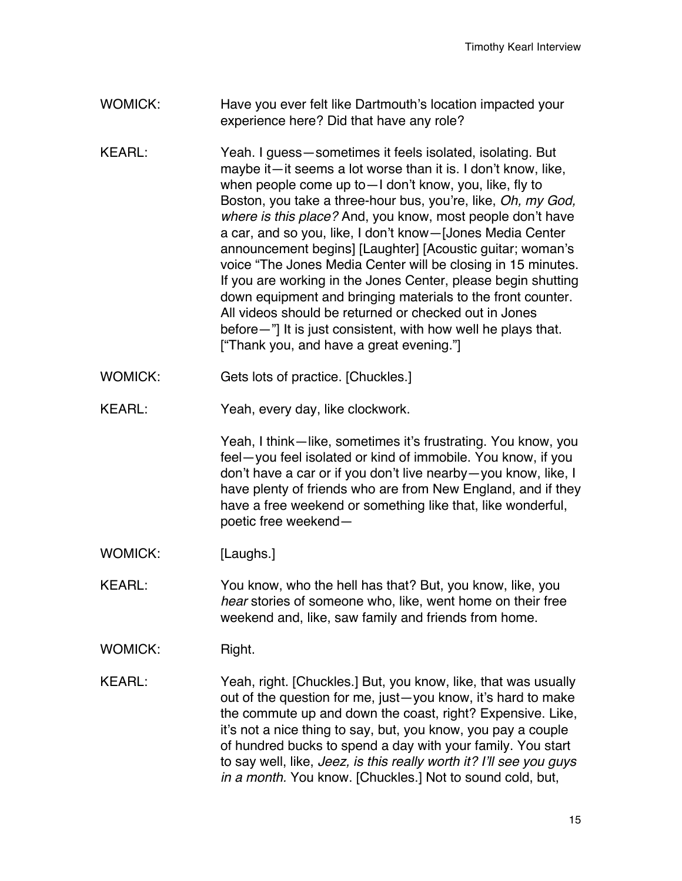- WOMICK: Have you ever felt like Dartmouth's location impacted your experience here? Did that have any role?
- KEARL: Yeah. I guess—sometimes it feels isolated, isolating. But maybe it—it seems a lot worse than it is. I don't know, like, when people come up to—I don't know, you, like, fly to Boston, you take a three-hour bus, you're, like, *Oh, my God, where is this place?* And, you know, most people don't have a car, and so you, like, I don't know—[Jones Media Center announcement begins] [Laughter] [Acoustic guitar; woman's voice "The Jones Media Center will be closing in 15 minutes. If you are working in the Jones Center, please begin shutting down equipment and bringing materials to the front counter. All videos should be returned or checked out in Jones before—"] It is just consistent, with how well he plays that. ["Thank you, and have a great evening."]
- WOMICK: Gets lots of practice. [Chuckles.]
- KEARL: Yeah, every day, like clockwork.

Yeah, I think—like, sometimes it's frustrating. You know, you feel—you feel isolated or kind of immobile. You know, if you don't have a car or if you don't live nearby—you know, like, I have plenty of friends who are from New England, and if they have a free weekend or something like that, like wonderful, poetic free weekend—

- WOMICK: [Laughs.]
- KEARL: You know, who the hell has that? But, you know, like, you *hear* stories of someone who, like, went home on their free weekend and, like, saw family and friends from home.
- WOMICK: Right.

KEARL: Yeah, right. [Chuckles.] But, you know, like, that was usually out of the question for me, just—you know, it's hard to make the commute up and down the coast, right? Expensive. Like, it's not a nice thing to say, but, you know, you pay a couple of hundred bucks to spend a day with your family. You start to say well, like, *Jeez, is this really worth it? I'll see you guys in a month.* You know. [Chuckles.] Not to sound cold, but,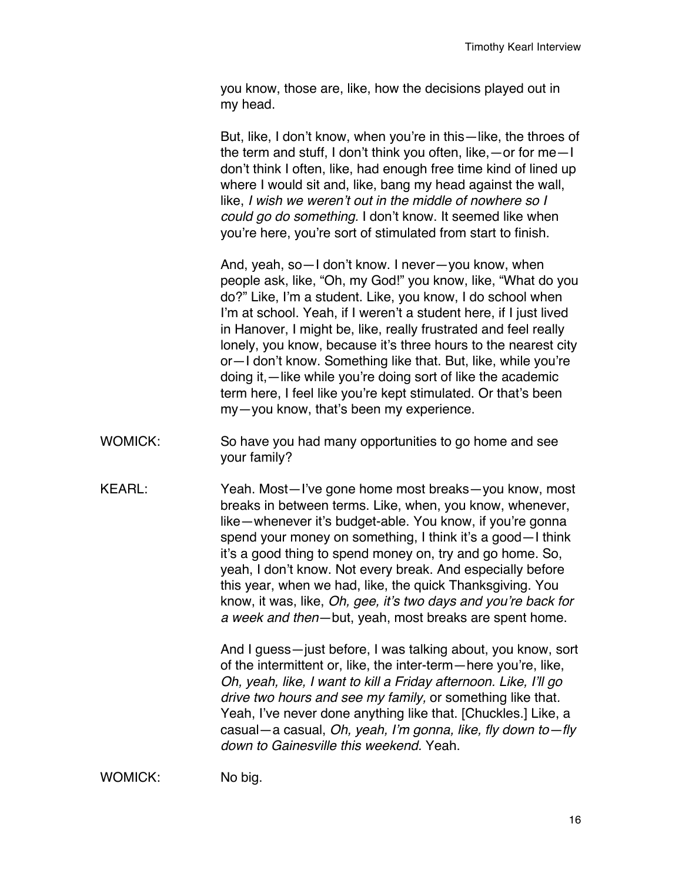you know, those are, like, how the decisions played out in my head.

But, like, I don't know, when you're in this—like, the throes of the term and stuff, I don't think you often, like,—or for me—I don't think I often, like, had enough free time kind of lined up where I would sit and, like, bang my head against the wall, like, *I wish we weren't out in the middle of nowhere so I could go do something.* I don't know. It seemed like when you're here, you're sort of stimulated from start to finish.

And, yeah, so—I don't know. I never—you know, when people ask, like, "Oh, my God!" you know, like, "What do you do?" Like, I'm a student. Like, you know, I do school when I'm at school. Yeah, if I weren't a student here, if I just lived in Hanover, I might be, like, really frustrated and feel really lonely, you know, because it's three hours to the nearest city or—I don't know. Something like that. But, like, while you're doing it,—like while you're doing sort of like the academic term here, I feel like you're kept stimulated. Or that's been my—you know, that's been my experience.

- WOMICK: So have you had many opportunities to go home and see your family?
- KEARL: Yeah. Most—I've gone home most breaks—you know, most breaks in between terms. Like, when, you know, whenever, like—whenever it's budget-able. You know, if you're gonna spend your money on something, I think it's a good—I think it's a good thing to spend money on, try and go home. So, yeah, I don't know. Not every break. And especially before this year, when we had, like, the quick Thanksgiving. You know, it was, like, *Oh, gee, it's two days and you're back for a week and then*—but, yeah, most breaks are spent home.

And I guess—just before, I was talking about, you know, sort of the intermittent or, like, the inter-term—here you're, like, *Oh, yeah, like, I want to kill a Friday afternoon. Like, I'll go drive two hours and see my family,* or something like that*.* Yeah, I've never done anything like that. [Chuckles.] Like, a casual—a casual, *Oh, yeah, I'm gonna, like, fly down to—fly down to Gainesville this weekend.* Yeah.

WOMICK: No big.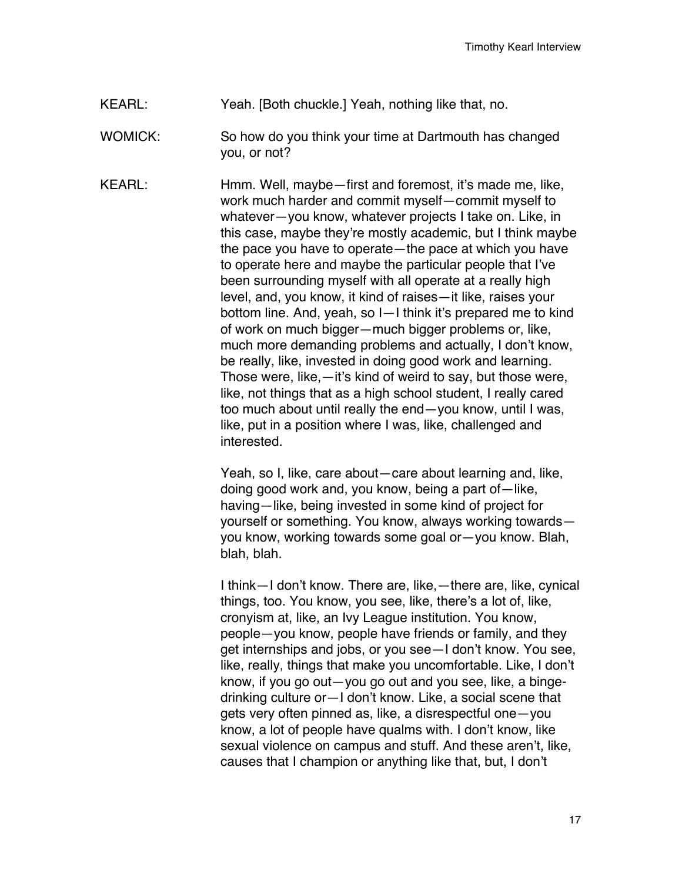KEARL: Yeah. [Both chuckle.] Yeah, nothing like that, no.

WOMICK: So how do you think your time at Dartmouth has changed you, or not?

KEARL: Hmm. Well, maybe—first and foremost, it's made me, like, work much harder and commit myself—commit myself to whatever—you know, whatever projects I take on. Like, in this case, maybe they're mostly academic, but I think maybe the pace you have to operate—the pace at which you have to operate here and maybe the particular people that I've been surrounding myself with all operate at a really high level, and, you know, it kind of raises—it like, raises your bottom line. And, yeah, so I—I think it's prepared me to kind of work on much bigger—much bigger problems or, like, much more demanding problems and actually, I don't know, be really, like, invested in doing good work and learning. Those were, like,—it's kind of weird to say, but those were, like, not things that as a high school student, I really cared too much about until really the end—you know, until I was, like, put in a position where I was, like, challenged and interested.

> Yeah, so I, like, care about—care about learning and, like, doing good work and, you know, being a part of—like, having—like, being invested in some kind of project for yourself or something. You know, always working towards you know, working towards some goal or—you know. Blah, blah, blah.

I think—I don't know. There are, like,—there are, like, cynical things, too. You know, you see, like, there's a lot of, like, cronyism at, like, an Ivy League institution. You know, people—you know, people have friends or family, and they get internships and jobs, or you see—I don't know. You see, like, really, things that make you uncomfortable. Like, I don't know, if you go out—you go out and you see, like, a bingedrinking culture or—I don't know. Like, a social scene that gets very often pinned as, like, a disrespectful one—you know, a lot of people have qualms with. I don't know, like sexual violence on campus and stuff. And these aren't, like, causes that I champion or anything like that, but, I don't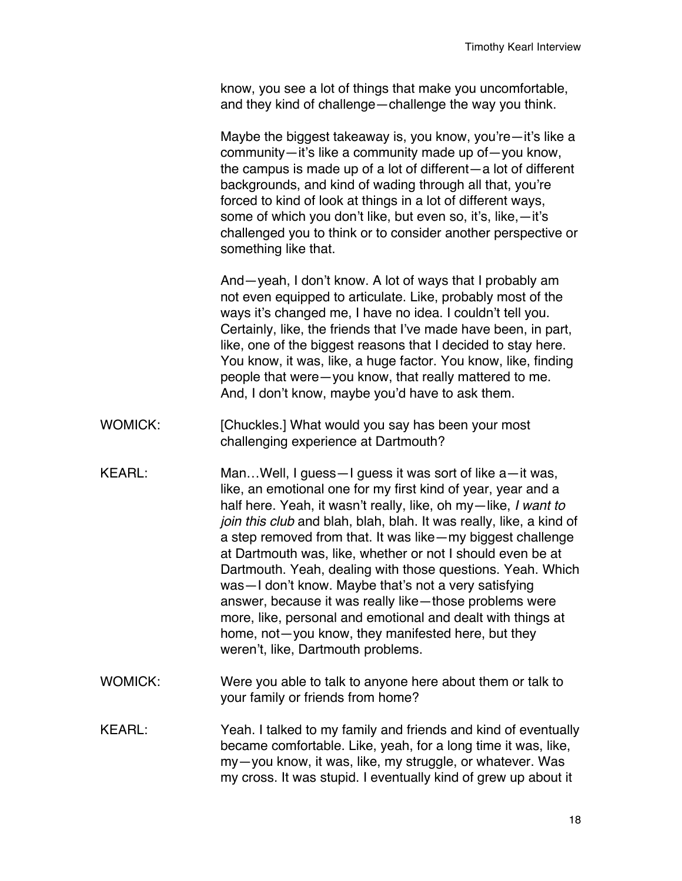know, you see a lot of things that make you uncomfortable, and they kind of challenge—challenge the way you think.

Maybe the biggest takeaway is, you know, you're—it's like a community—it's like a community made up of—you know, the campus is made up of a lot of different—a lot of different backgrounds, and kind of wading through all that, you're forced to kind of look at things in a lot of different ways, some of which you don't like, but even so, it's, like,—it's challenged you to think or to consider another perspective or something like that.

And—yeah, I don't know. A lot of ways that I probably am not even equipped to articulate. Like, probably most of the ways it's changed me, I have no idea. I couldn't tell you. Certainly, like, the friends that I've made have been, in part, like, one of the biggest reasons that I decided to stay here. You know, it was, like, a huge factor. You know, like, finding people that were—you know, that really mattered to me. And, I don't know, maybe you'd have to ask them.

- WOMICK: [Chuckles.] What would you say has been your most challenging experience at Dartmouth?
- KEARL: Man…Well, I guess—I guess it was sort of like a—it was, like, an emotional one for my first kind of year, year and a half here. Yeah, it wasn't really, like, oh my—like, *I want to join this club* and blah, blah, blah. It was really, like, a kind of a step removed from that. It was like—my biggest challenge at Dartmouth was, like, whether or not I should even be at Dartmouth. Yeah, dealing with those questions. Yeah. Which was—I don't know. Maybe that's not a very satisfying answer, because it was really like—those problems were more, like, personal and emotional and dealt with things at home, not—you know, they manifested here, but they weren't, like, Dartmouth problems.
- WOMICK: Were you able to talk to anyone here about them or talk to your family or friends from home?
- KEARL: Yeah. I talked to my family and friends and kind of eventually became comfortable. Like, yeah, for a long time it was, like, my—you know, it was, like, my struggle, or whatever. Was my cross. It was stupid. I eventually kind of grew up about it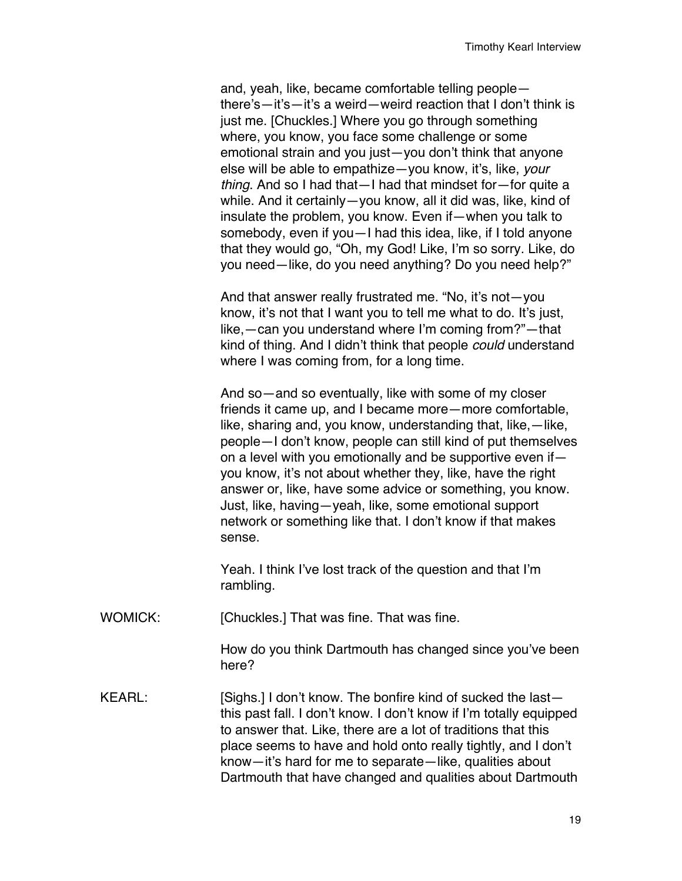and, yeah, like, became comfortable telling people there's—it's—it's a weird—weird reaction that I don't think is just me. [Chuckles.] Where you go through something where, you know, you face some challenge or some emotional strain and you just—you don't think that anyone else will be able to empathize—you know, it's, like, *your thing*. And so I had that—I had that mindset for—for quite a while. And it certainly—you know, all it did was, like, kind of insulate the problem, you know. Even if—when you talk to somebody, even if you—I had this idea, like, if I told anyone that they would go, "Oh, my God! Like, I'm so sorry. Like, do you need—like, do you need anything? Do you need help?"

And that answer really frustrated me. "No, it's not—you know, it's not that I want you to tell me what to do. It's just, like,—can you understand where I'm coming from?"—that kind of thing. And I didn't think that people *could* understand where I was coming from, for a long time.

And so—and so eventually, like with some of my closer friends it came up, and I became more—more comfortable, like, sharing and, you know, understanding that, like,—like, people—I don't know, people can still kind of put themselves on a level with you emotionally and be supportive even if you know, it's not about whether they, like, have the right answer or, like, have some advice or something, you know. Just, like, having—yeah, like, some emotional support network or something like that. I don't know if that makes sense.

Yeah. I think I've lost track of the question and that I'm rambling.

WOMICK: [Chuckles.] That was fine. That was fine.

How do you think Dartmouth has changed since you've been here?

KEARL: [Sighs.] I don't know. The bonfire kind of sucked the lastthis past fall. I don't know. I don't know if I'm totally equipped to answer that. Like, there are a lot of traditions that this place seems to have and hold onto really tightly, and I don't know—it's hard for me to separate—like, qualities about Dartmouth that have changed and qualities about Dartmouth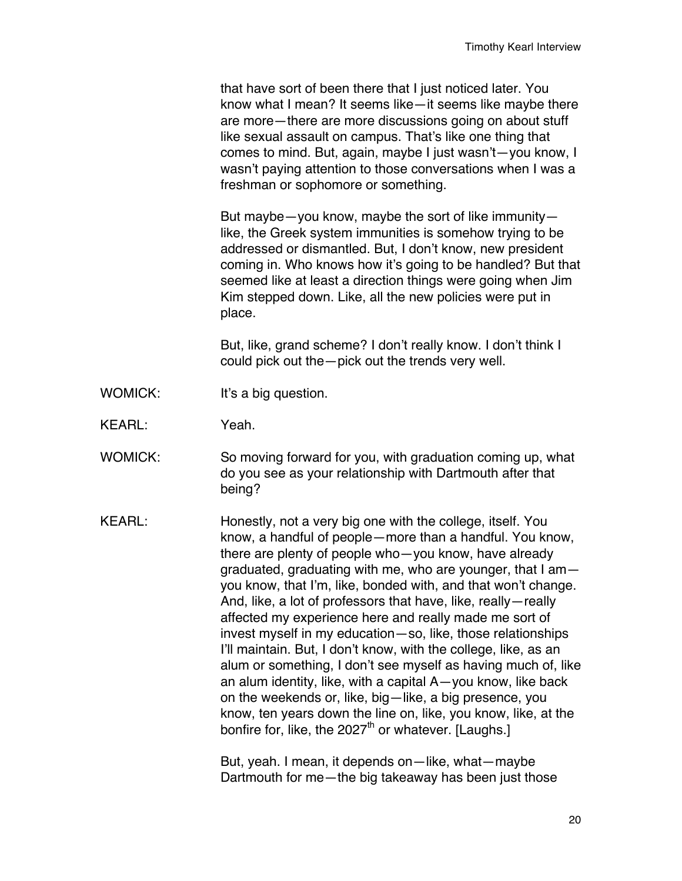that have sort of been there that I just noticed later. You know what I mean? It seems like—it seems like maybe there are more—there are more discussions going on about stuff like sexual assault on campus. That's like one thing that comes to mind. But, again, maybe I just wasn't—you know, I wasn't paying attention to those conversations when I was a freshman or sophomore or something.

But maybe—you know, maybe the sort of like immunity like, the Greek system immunities is somehow trying to be addressed or dismantled. But, I don't know, new president coming in. Who knows how it's going to be handled? But that seemed like at least a direction things were going when Jim Kim stepped down. Like, all the new policies were put in place.

But, like, grand scheme? I don't really know. I don't think I could pick out the—pick out the trends very well.

- WOMICK: It's a big question.
- KEARL: Yeah.
- WOMICK: So moving forward for you, with graduation coming up, what do you see as your relationship with Dartmouth after that being?
- KEARL: Honestly, not a very big one with the college, itself. You know, a handful of people—more than a handful. You know, there are plenty of people who—you know, have already graduated, graduating with me, who are younger, that I am you know, that I'm, like, bonded with, and that won't change. And, like, a lot of professors that have, like, really—really affected my experience here and really made me sort of invest myself in my education—so, like, those relationships I'll maintain. But, I don't know, with the college, like, as an alum or something, I don't see myself as having much of, like an alum identity, like, with a capital A—you know, like back on the weekends or, like, big—like, a big presence, you know, ten years down the line on, like, you know, like, at the bonfire for, like, the  $2027<sup>th</sup>$  or whatever. [Laughs.]

But, yeah. I mean, it depends on—like, what—maybe Dartmouth for me—the big takeaway has been just those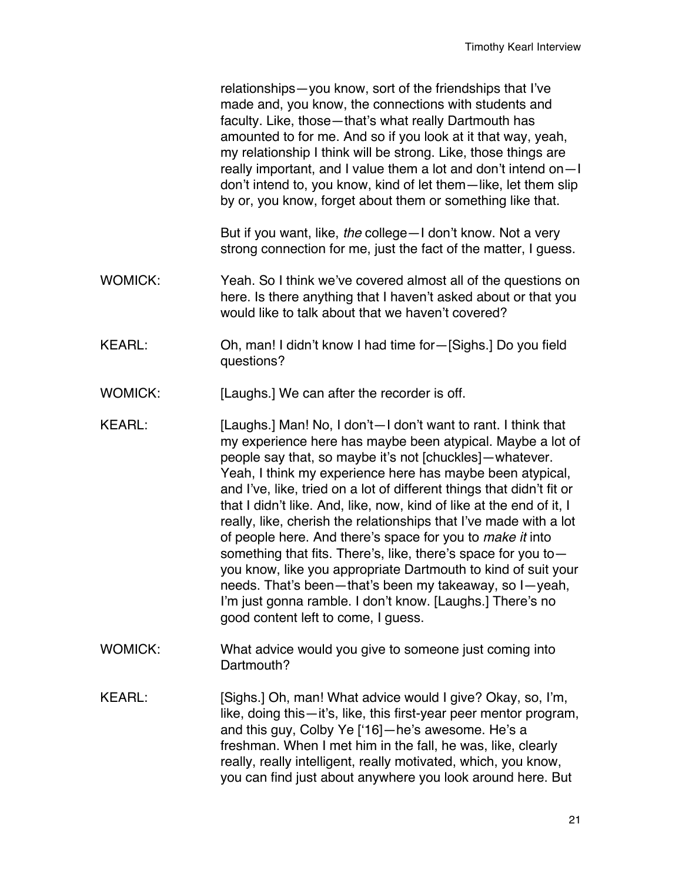relationships—you know, sort of the friendships that I've made and, you know, the connections with students and faculty. Like, those—that's what really Dartmouth has amounted to for me. And so if you look at it that way, yeah, my relationship I think will be strong. Like, those things are really important, and I value them a lot and don't intend on—I don't intend to, you know, kind of let them—like, let them slip by or, you know, forget about them or something like that.

But if you want, like, *the* college—I don't know. Not a very strong connection for me, just the fact of the matter, I guess.

- WOMICK: Yeah. So I think we've covered almost all of the questions on here. Is there anything that I haven't asked about or that you would like to talk about that we haven't covered?
- KEARL: Oh, man! I didn't know I had time for—[Sighs.] Do you field questions?
- WOMICK: [Laughs.] We can after the recorder is off.
- KEARL: [Laughs.] Man! No, I don't—I don't want to rant. I think that my experience here has maybe been atypical. Maybe a lot of people say that, so maybe it's not [chuckles]—whatever. Yeah, I think my experience here has maybe been atypical, and I've, like, tried on a lot of different things that didn't fit or that I didn't like. And, like, now, kind of like at the end of it, I really, like, cherish the relationships that I've made with a lot of people here. And there's space for you to *make it* into something that fits. There's, like, there's space for you to you know, like you appropriate Dartmouth to kind of suit your needs. That's been—that's been my takeaway, so I—yeah, I'm just gonna ramble. I don't know. [Laughs.] There's no good content left to come, I guess.
- WOMICK: What advice would you give to someone just coming into Dartmouth?
- KEARL: [Sighs.] Oh, man! What advice would I give? Okay, so, I'm, like, doing this—it's, like, this first-year peer mentor program, and this guy, Colby Ye ['16]—he's awesome. He's a freshman. When I met him in the fall, he was, like, clearly really, really intelligent, really motivated, which, you know, you can find just about anywhere you look around here. But